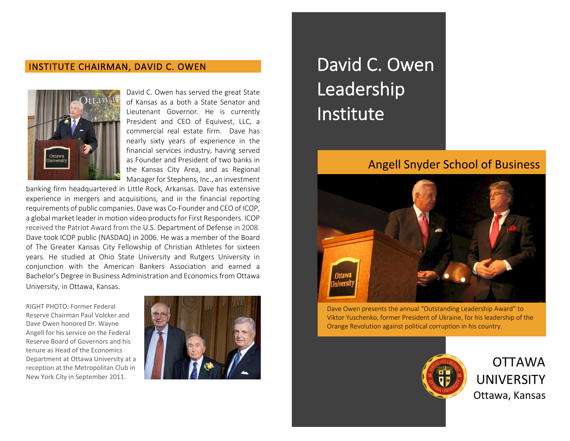#### INSTITUTE CHAIRMAN, DAVID C. OWEN



David C. Owen has served the great State of Kansas as a both a State Senator and Lieutenant Governor. He is currently President and CEO of Equivest, LLC, a commercial real estate firm. Dave has nearly sixty years of experience in the financial services industry, having served as Founder and President of two banks in the Kansas City Area, and as Regional Manager for Stephens, Inc., an investment

banking firm headquartered in Little Rock, Arkansas. Dave has extensive experience in mergers and acquisitions, and in the financial reporting requirements of public companies. Dave was Co-Founder and CEO of ICOP, a global market leader in motion video products for First Responders. ICOP received the Patriot Award from the U.S. Department of Defense in 2008. Dave took ICOP public (NASDAQ) in 2006. He was a member of the Board of The Greater Kansas City Fellowship of Christian Athletes for sixteen years. He studied at Ohio State University and Rutgers University in conjunction with the American Bankers Association and earned a Bachelor's Degree in Business Administration and Economics from Ottawa University, in Ottawa, Kansas.

RIGHT PHOTO: Former Federal Reserve Chairman Paul Volcker and Dave Owen honored Dr. Wayne Angell for his service on the Federal Reserve Board of Governors and his tenure as Head of the Economics Department at Ottawa University at a reception at the Metropolitan Club in New York City in September 2011.



# David C. Owen Leadership Institute

## Angell Snyder School of Business



Dave Owen presents the annual "Outstanding Leadership Award" to Viktor Yuschenko, former President of Ukraine, for his leadership of the Orange Revolution against political corruption in his country.



OTTAWA UNIVERSITY Ottawa, Kansas